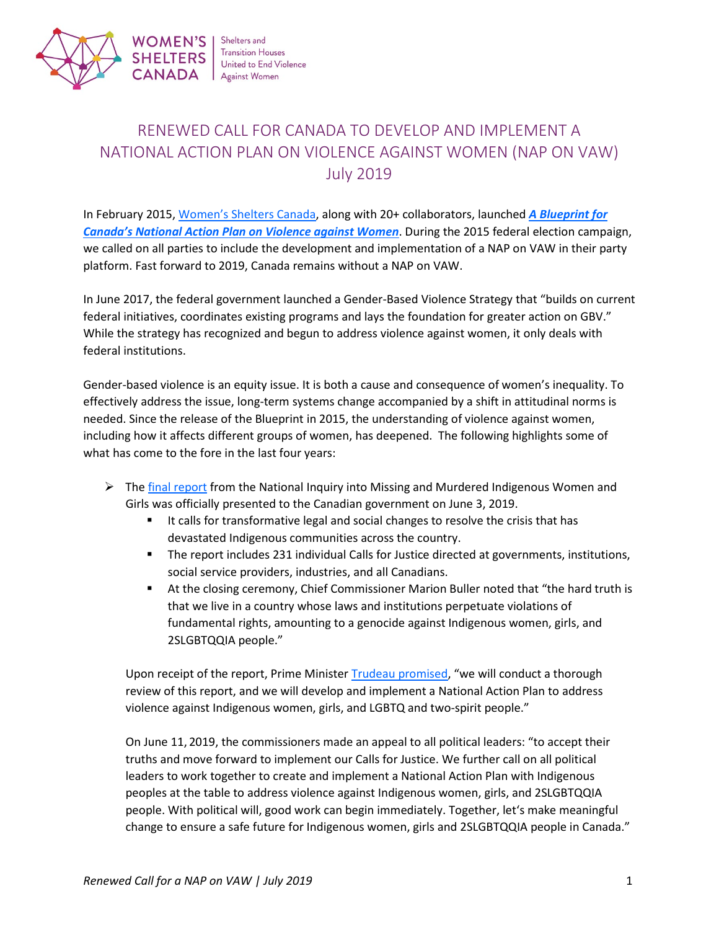

Shelters and **Transition Houses SHELTERS** United to End Violence CANADA Against Women

# RENEWED CALL FOR CANADA TO DEVELOP AND IMPLEMENT A NATIONAL ACTION PLAN ON VIOLENCE AGAINST WOMEN (NAP ON VAW) July 2019

In February 2015, [Women's Shelters Canada,](http://www.endvaw.ca/) along with 20+ collaborators, launched *[A Blueprint for](https://endvaw.ca/wp-content/uploads/2019/02/Blueprint-for-Canadas-NAP-on-VAW.pdf)  [Canada's National Action Plan on Violence against Women](https://endvaw.ca/wp-content/uploads/2019/02/Blueprint-for-Canadas-NAP-on-VAW.pdf)*. During the 2015 federal election campaign, we called on all parties to include the development and implementation of a NAP on VAW in their party platform. Fast forward to 2019, Canada remains without a NAP on VAW.

In June 2017, the federal government launched a Gender-Based Violence Strategy that "builds on current federal initiatives, coordinates existing programs and lays the foundation for greater action on GBV." While the strategy has recognized and begun to address violence against women, it only deals with federal institutions.

Gender-based violence is an equity issue. It is both a cause and consequence of women's inequality. To effectively address the issue, long-term systems change accompanied by a shift in attitudinal norms is needed. Since the release of the Blueprint in 2015, the understanding of violence against women, including how it affects different groups of women, has deepened. The following highlights some of what has come to the fore in the last four years:

- $\triangleright$  The [final report](https://www.mmiwg-ffada.ca/final-report/) from the National Inquiry into Missing and Murdered Indigenous Women and Girls was officially presented to the Canadian government on June 3, 2019.
	- It calls for transformative legal and social changes to resolve the crisis that has devastated Indigenous communities across the country.
	- The report includes 231 individual Calls for Justice directed at governments, institutions, social service providers, industries, and all Canadians.
	- At the closing ceremony, Chief Commissioner Marion Buller noted that "the hard truth is that we live in a country whose laws and institutions perpetuate violations of fundamental rights, amounting to a genocide against Indigenous women, girls, and 2SLGBTQQIA people."

Upon receipt of the report, Prime Minister [Trudeau promised,](https://pm.gc.ca/eng/news/2019/06/03/prime-minister-welcomes-final-report-national-inquiry-missing-and-murdered) "we will conduct a thorough review of this report, and we will develop and implement a National Action Plan to address violence against Indigenous women, girls, and LGBTQ and two-spirit people."

On June 11, 2019, the commissioners made an appeal to all political leaders: "to accept their truths and move forward to implement our Calls for Justice. We further call on all political leaders to work together to create and implement a National Action Plan with Indigenous peoples at the table to address violence against Indigenous women, girls, and 2SLGBTQQIA people. With political will, good work can begin immediately. Together, let's make meaningful change to ensure a safe future for Indigenous women, girls and 2SLGBTQQIA people in Canada."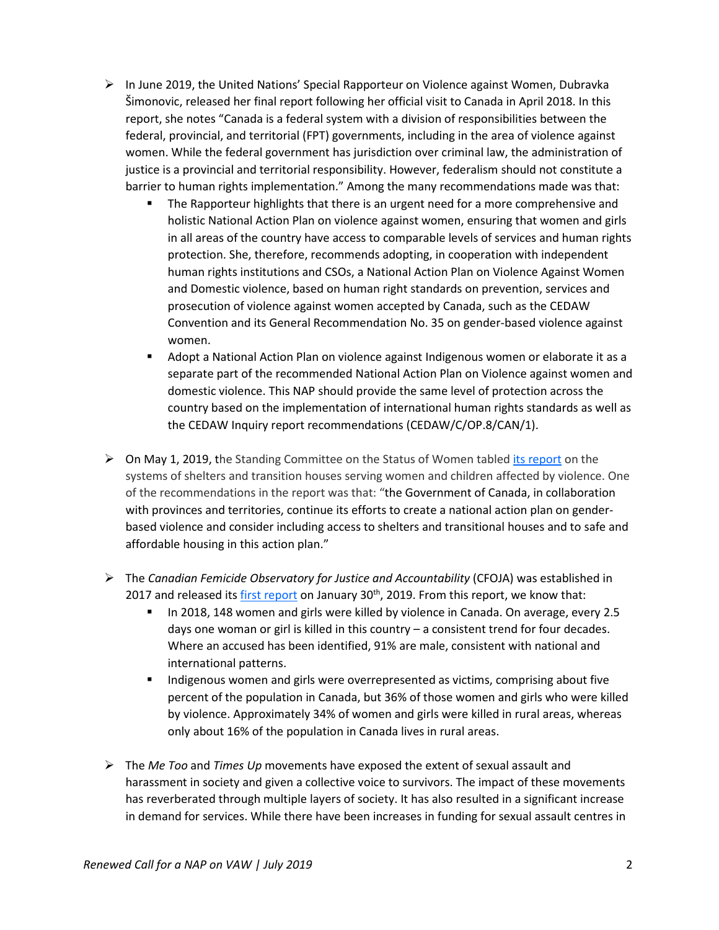- $\triangleright$  In June 2019, the United Nations' Special Rapporteur on Violence against Women, Dubravka Šimonovic, released her final report following her official visit to Canada in April 2018. In this report, she notes "Canada is a federal system with a division of responsibilities between the federal, provincial, and territorial (FPT) governments, including in the area of violence against women. While the federal government has jurisdiction over criminal law, the administration of justice is a provincial and territorial responsibility. However, federalism should not constitute a barrier to human rights implementation." Among the many recommendations made was that:
	- The Rapporteur highlights that there is an urgent need for a more comprehensive and holistic National Action Plan on violence against women, ensuring that women and girls in all areas of the country have access to comparable levels of services and human rights protection. She, therefore, recommends adopting, in cooperation with independent human rights institutions and CSOs, a National Action Plan on Violence Against Women and Domestic violence, based on human right standards on prevention, services and prosecution of violence against women accepted by Canada, such as the CEDAW Convention and its General Recommendation No. 35 on gender-based violence against women.
	- Adopt a National Action Plan on violence against Indigenous women or elaborate it as a separate part of the recommended National Action Plan on Violence against women and domestic violence. This NAP should provide the same level of protection across the country based on the implementation of international human rights standards as well as the CEDAW Inquiry report recommendations (CEDAW/C/OP.8/CAN/1).
- $\triangleright$  On May 1, 2019, the Standing Committee on the Status of Women tabled [its report](https://www.ourcommons.ca/Content/Committee/421/FEWO/Reports/RP10429173/feworp15/feworp15-e.pdf) on the systems of shelters and transition houses serving women and children affected by violence. One of the recommendations in the report was that: "the Government of Canada, in collaboration with provinces and territories, continue its efforts to create a national action plan on genderbased violence and consider including access to shelters and transitional houses and to safe and affordable housing in this action plan."
- The *Canadian Femicide Observatory for Justice and Accountability* (CFOJA) was established in 2017 and released it[s first report](https://femicideincanada.ca/callitfemicide.pdf) on January  $30<sup>th</sup>$ , 2019. From this report, we know that:
	- In 2018, 148 women and girls were killed by violence in Canada. On average, every 2.5 days one woman or girl is killed in this country – a consistent trend for four decades. Where an accused has been identified, 91% are male, consistent with national and international patterns.
	- Indigenous women and girls were overrepresented as victims, comprising about five percent of the population in Canada, but 36% of those women and girls who were killed by violence. Approximately 34% of women and girls were killed in rural areas, whereas only about 16% of the population in Canada lives in rural areas.
- The *Me Too* and *Times Up* movements have exposed the extent of sexual assault and harassment in society and given a collective voice to survivors. The impact of these movements has reverberated through multiple layers of society. It has also resulted in a significant increase in demand for services. While there have been increases in funding for sexual assault centres in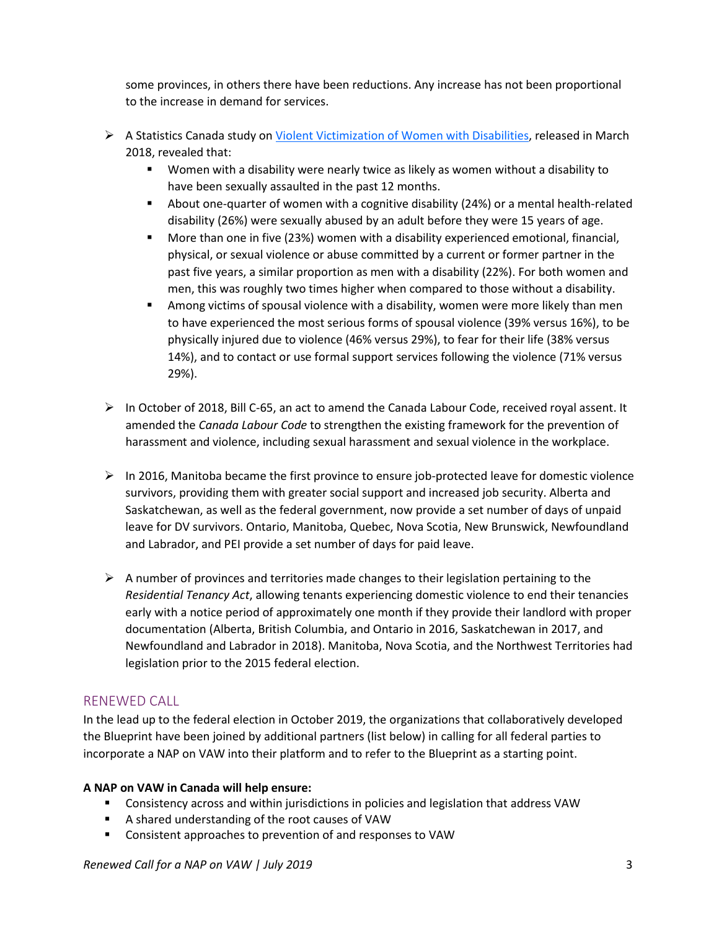some provinces, in others there have been reductions. Any increase has not been proportional to the increase in demand for services.

- A Statistics Canada study on Violent Victimization of [Women with Disabilities,](https://www150.statcan.gc.ca/n1/pub/85-002-x/2018001/article/54910-eng.pdf) released in March 2018, revealed that:
	- Women with a disability were nearly twice as likely as women without a disability to have been sexually assaulted in the past 12 months.
	- About one-quarter of women with a cognitive disability (24%) or a mental health-related disability (26%) were sexually abused by an adult before they were 15 years of age.
	- More than one in five (23%) women with a disability experienced emotional, financial, physical, or sexual violence or abuse committed by a current or former partner in the past five years, a similar proportion as men with a disability (22%). For both women and men, this was roughly two times higher when compared to those without a disability.
	- Among victims of spousal violence with a disability, women were more likely than men to have experienced the most serious forms of spousal violence (39% versus 16%), to be physically injured due to violence (46% versus 29%), to fear for their life (38% versus 14%), and to contact or use formal support services following the violence (71% versus 29%).
- In October of 2018, Bill C-65, an act to amend the Canada Labour Code, received royal assent. It amended the *Canada Labour Code* to strengthen the existing framework for the prevention of harassment and violence, including sexual harassment and sexual violence in the workplace.
- $\triangleright$  In 2016, Manitoba became the first province to ensure job-protected leave for domestic violence survivors, providing them with greater social support and increased job security. Alberta and Saskatchewan, as well as the federal government, now provide a set number of days of unpaid leave for DV survivors. Ontario, Manitoba, Quebec, Nova Scotia, New Brunswick, Newfoundland and Labrador, and PEI provide a set number of days for paid leave.
- $\triangleright$  A number of provinces and territories made changes to their legislation pertaining to the *Residential Tenancy Act*, allowing tenants experiencing domestic violence to end their tenancies early with a notice period of approximately one month if they provide their landlord with proper documentation (Alberta, British Columbia, and Ontario in 2016, Saskatchewan in 2017, and Newfoundland and Labrador in 2018). Manitoba, Nova Scotia, and the Northwest Territories had legislation prior to the 2015 federal election.

## RENEWED CALL

In the lead up to the federal election in October 2019, the organizations that collaboratively developed the Blueprint have been joined by additional partners (list below) in calling for all federal parties to incorporate a NAP on VAW into their platform and to refer to the Blueprint as a starting point.

## **A NAP on VAW in Canada will help ensure:**

- Consistency across and within jurisdictions in policies and legislation that address VAW
- A shared understanding of the root causes of VAW
- Consistent approaches to prevention of and responses to VAW